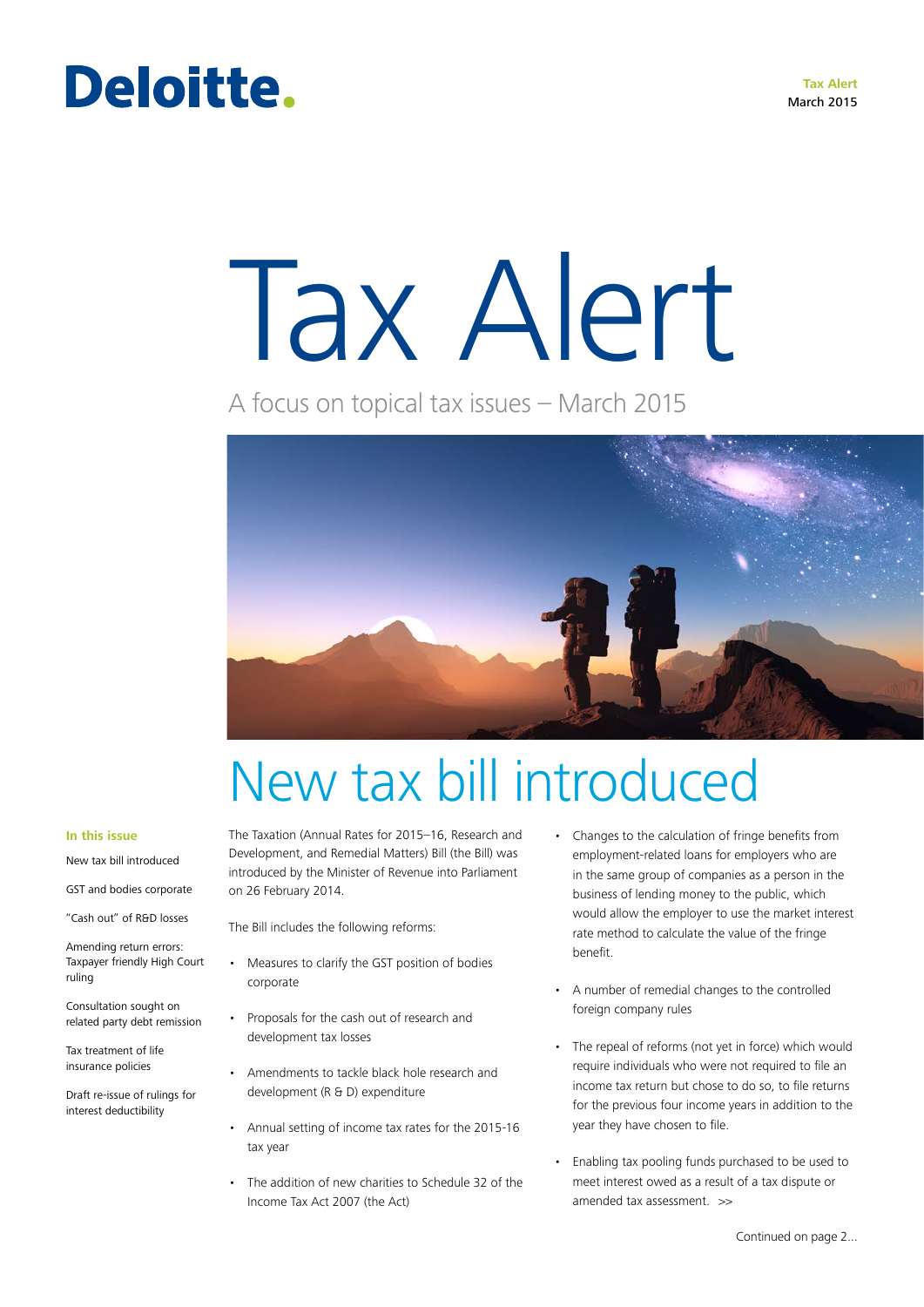### Deloitte.

# Tax Alert

A focus on topical tax issues – March 2015



## New tax bill introduced

#### **In this issue**

New tax bill introduced

GST and bodies corporate

"Cash out" of R&D losses

Amending return errors: Taxpayer friendly High Court ruling

Consultation sought on related party debt remission

Tax treatment of life insurance policies

Draft re-issue of rulings for interest deductibility

The Taxation (Annual Rates for 2015–16, Research and Development, and Remedial Matters) Bill (the Bill) was introduced by the Minister of Revenue into Parliament on 26 February 2014.

The Bill includes the following reforms:

- • Measures to clarify the GST position of bodies corporate
- • Proposals for the cash out of research and development tax losses
- • Amendments to tackle black hole research and development (R & D) expenditure
- • Annual setting of income tax rates for the 2015-16 tax year
- • The addition of new charities to Schedule 32 of the Income Tax Act 2007 (the Act)
- Changes to the calculation of fringe benefits from employment-related loans for employers who are in the same group of companies as a person in the business of lending money to the public, which would allow the employer to use the market interest rate method to calculate the value of the fringe benefit.
- A number of remedial changes to the controlled foreign company rules
- The repeal of reforms (not yet in force) which would require individuals who were not required to file an income tax return but chose to do so, to file returns for the previous four income years in addition to the year they have chosen to file.
- amended tax assessment. >> • Enabling tax pooling funds purchased to be used to meet interest owed as a result of a tax dispute or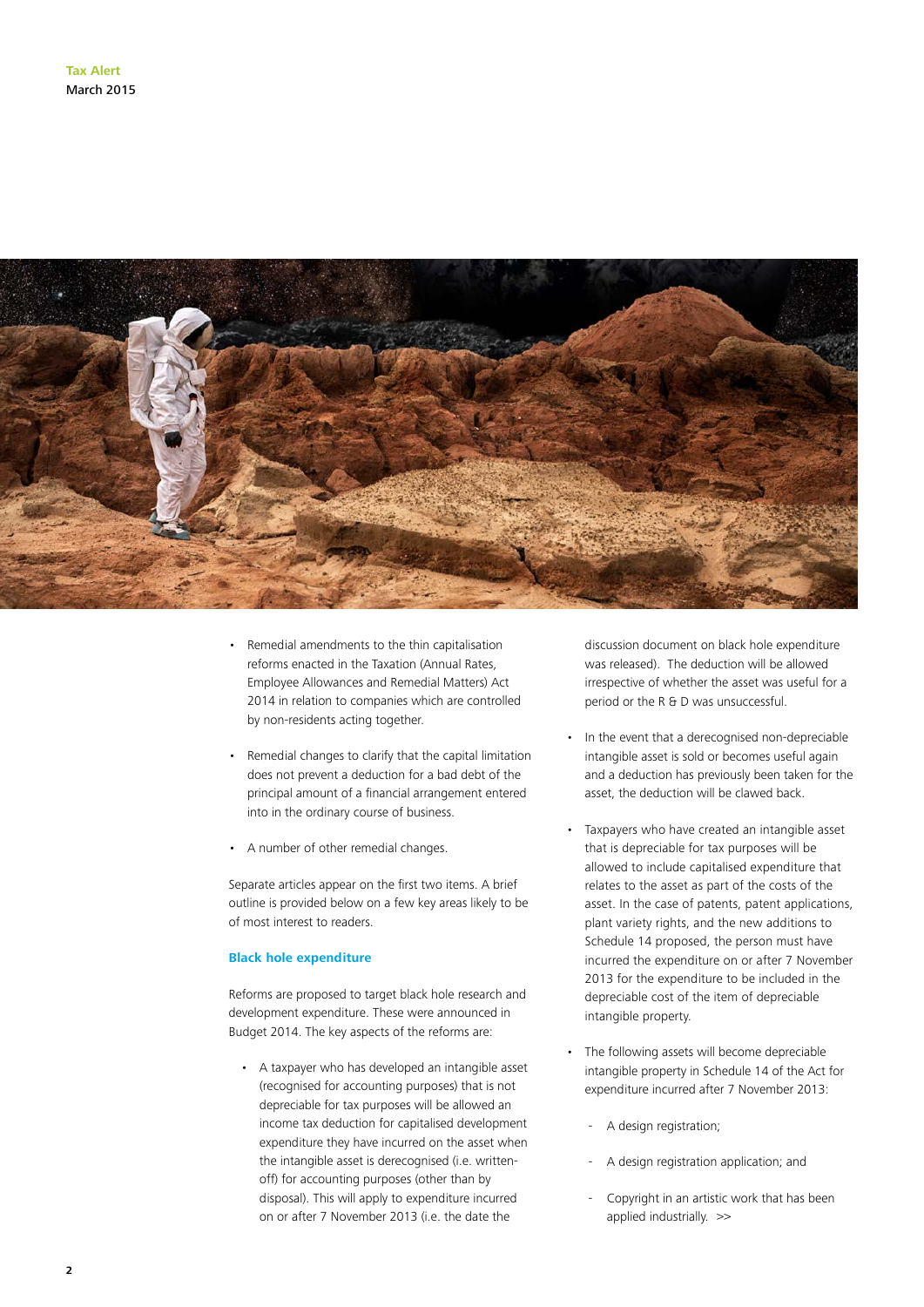

- Remedial amendments to the thin capitalisation reforms enacted in the Taxation (Annual Rates, Employee Allowances and Remedial Matters) Act 2014 in relation to companies which are controlled by non-residents acting together.
- Remedial changes to clarify that the capital limitation does not prevent a deduction for a bad debt of the principal amount of a financial arrangement entered into in the ordinary course of business.
- • A number of other remedial changes.

Separate articles appear on the first two items. A brief outline is provided below on a few key areas likely to be of most interest to readers.

#### **Black hole expenditure**

Reforms are proposed to target black hole research and development expenditure. These were announced in Budget 2014. The key aspects of the reforms are:

• A taxpayer who has developed an intangible asset (recognised for accounting purposes) that is not depreciable for tax purposes will be allowed an income tax deduction for capitalised development expenditure they have incurred on the asset when the intangible asset is derecognised (i.e. writtenoff) for accounting purposes (other than by disposal). This will apply to expenditure incurred on or after 7 November 2013 (i.e. the date the

discussion document on black hole expenditure was released). The deduction will be allowed irrespective of whether the asset was useful for a period or the R & D was unsuccessful.

- In the event that a derecognised non-depreciable intangible asset is sold or becomes useful again and a deduction has previously been taken for the asset, the deduction will be clawed back.
- Taxpayers who have created an intangible asset that is depreciable for tax purposes will be allowed to include capitalised expenditure that relates to the asset as part of the costs of the asset. In the case of patents, patent applications, plant variety rights, and the new additions to Schedule 14 proposed, the person must have incurred the expenditure on or after 7 November 2013 for the expenditure to be included in the depreciable cost of the item of depreciable intangible property.
- The following assets will become depreciable intangible property in Schedule 14 of the Act for expenditure incurred after 7 November 2013:
	- A design registration;
	- A design registration application; and
	- Copyright in an artistic work that has been applied industrially. >>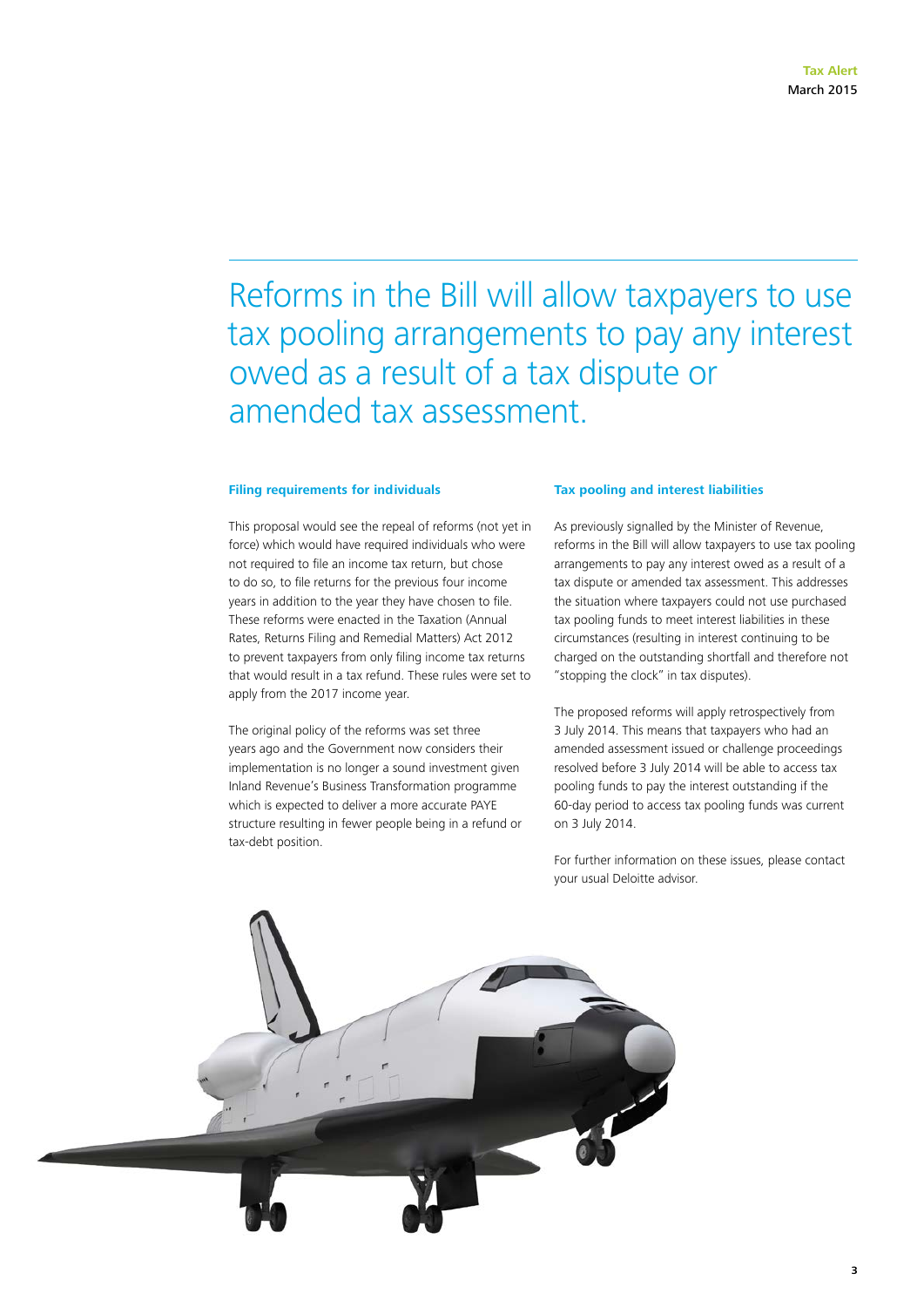### Reforms in the Bill will allow taxpayers to use tax pooling arrangements to pay any interest owed as a result of a tax dispute or amended tax assessment.

#### **Filing requirements for individuals**

This proposal would see the repeal of reforms (not yet in force) which would have required individuals who were not required to file an income tax return, but chose to do so, to file returns for the previous four income years in addition to the year they have chosen to file. These reforms were enacted in the Taxation (Annual Rates, Returns Filing and Remedial Matters) Act 2012 to prevent taxpayers from only filing income tax returns that would result in a tax refund. These rules were set to apply from the 2017 income year.

The original policy of the reforms was set three years ago and the Government now considers their implementation is no longer a sound investment given Inland Revenue's Business Transformation programme which is expected to deliver a more accurate PAYE structure resulting in fewer people being in a refund or tax-debt position.

#### **Tax pooling and interest liabilities**

As previously signalled by the Minister of Revenue, reforms in the Bill will allow taxpayers to use tax pooling arrangements to pay any interest owed as a result of a tax dispute or amended tax assessment. This addresses the situation where taxpayers could not use purchased tax pooling funds to meet interest liabilities in these circumstances (resulting in interest continuing to be charged on the outstanding shortfall and therefore not "stopping the clock" in tax disputes).

The proposed reforms will apply retrospectively from 3 July 2014. This means that taxpayers who had an amended assessment issued or challenge proceedings resolved before 3 July 2014 will be able to access tax pooling funds to pay the interest outstanding if the 60-day period to access tax pooling funds was current on 3 July 2014.

For further information on these issues, please contact your usual Deloitte advisor.

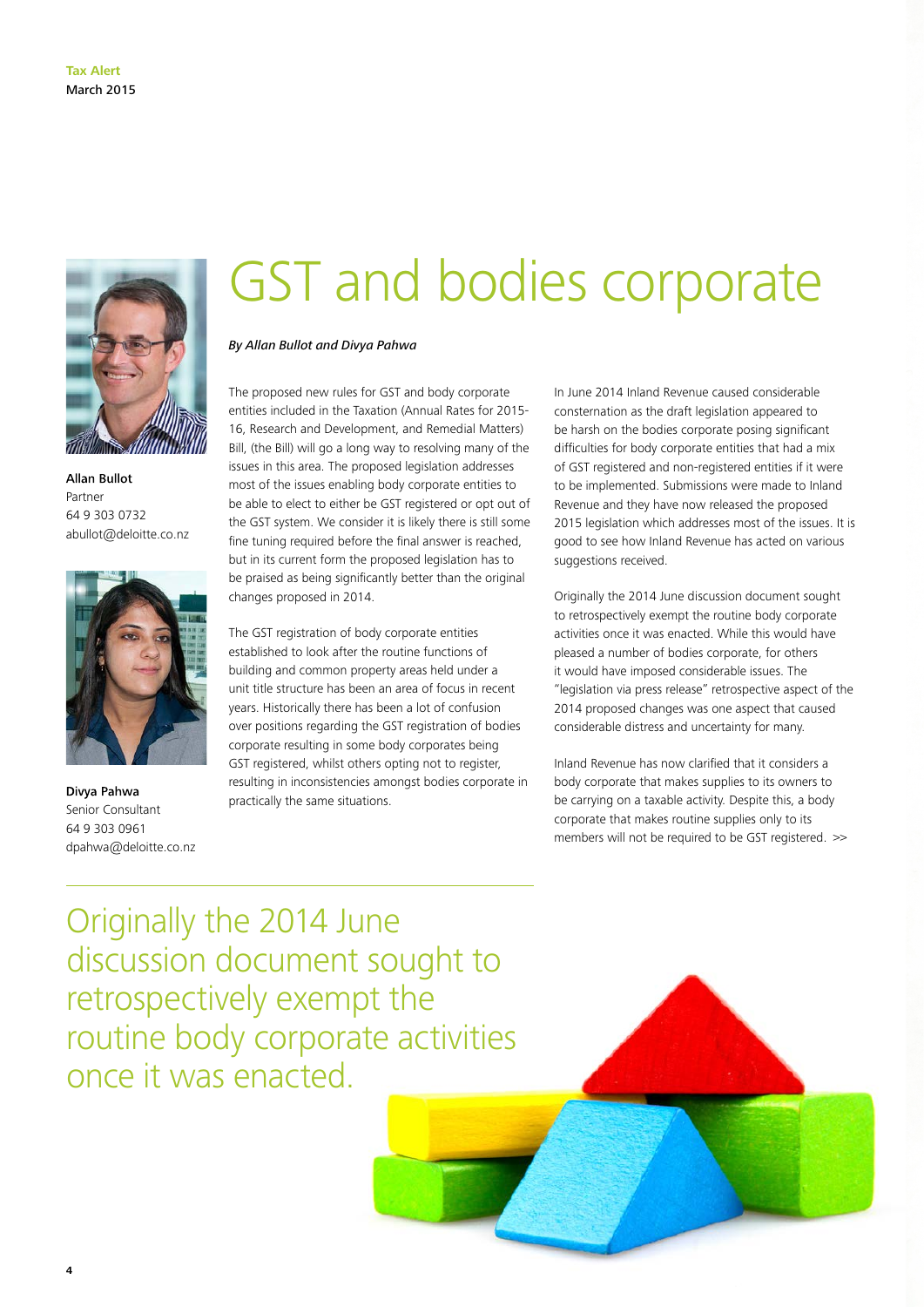

Allan Bullot Partner 64 9 303 0732 abullot@deloitte.co.nz



Divya Pahwa Senior Consultant 64 9 303 0961 dpahwa@deloitte.co.nz

**4**

### GST and bodies corporate

#### *By Allan Bullot and Divya Pahwa*

The proposed new rules for GST and body corporate entities included in the Taxation (Annual Rates for 2015- 16, Research and Development, and Remedial Matters) Bill, (the Bill) will go a long way to resolving many of the issues in this area. The proposed legislation addresses most of the issues enabling body corporate entities to be able to elect to either be GST registered or opt out of the GST system. We consider it is likely there is still some fine tuning required before the final answer is reached, but in its current form the proposed legislation has to be praised as being significantly better than the original changes proposed in 2014.

The GST registration of body corporate entities established to look after the routine functions of building and common property areas held under a unit title structure has been an area of focus in recent years. Historically there has been a lot of confusion over positions regarding the GST registration of bodies corporate resulting in some body corporates being GST registered, whilst others opting not to register, resulting in inconsistencies amongst bodies corporate in practically the same situations.

In June 2014 Inland Revenue caused considerable consternation as the draft legislation appeared to be harsh on the bodies corporate posing significant difficulties for body corporate entities that had a mix of GST registered and non-registered entities if it were to be implemented. Submissions were made to Inland Revenue and they have now released the proposed 2015 legislation which addresses most of the issues. It is good to see how Inland Revenue has acted on various suggestions received.

Originally the 2014 June discussion document sought to retrospectively exempt the routine body corporate activities once it was enacted. While this would have pleased a number of bodies corporate, for others it would have imposed considerable issues. The "legislation via press release" retrospective aspect of the 2014 proposed changes was one aspect that caused considerable distress and uncertainty for many.

Inland Revenue has now clarified that it considers a body corporate that makes supplies to its owners to be carrying on a taxable activity. Despite this, a body corporate that makes routine supplies only to its members will not be required to be GST registered. >>

Originally the 2014 June discussion document sought to retrospectively exempt the routine body corporate activities once it was enacted.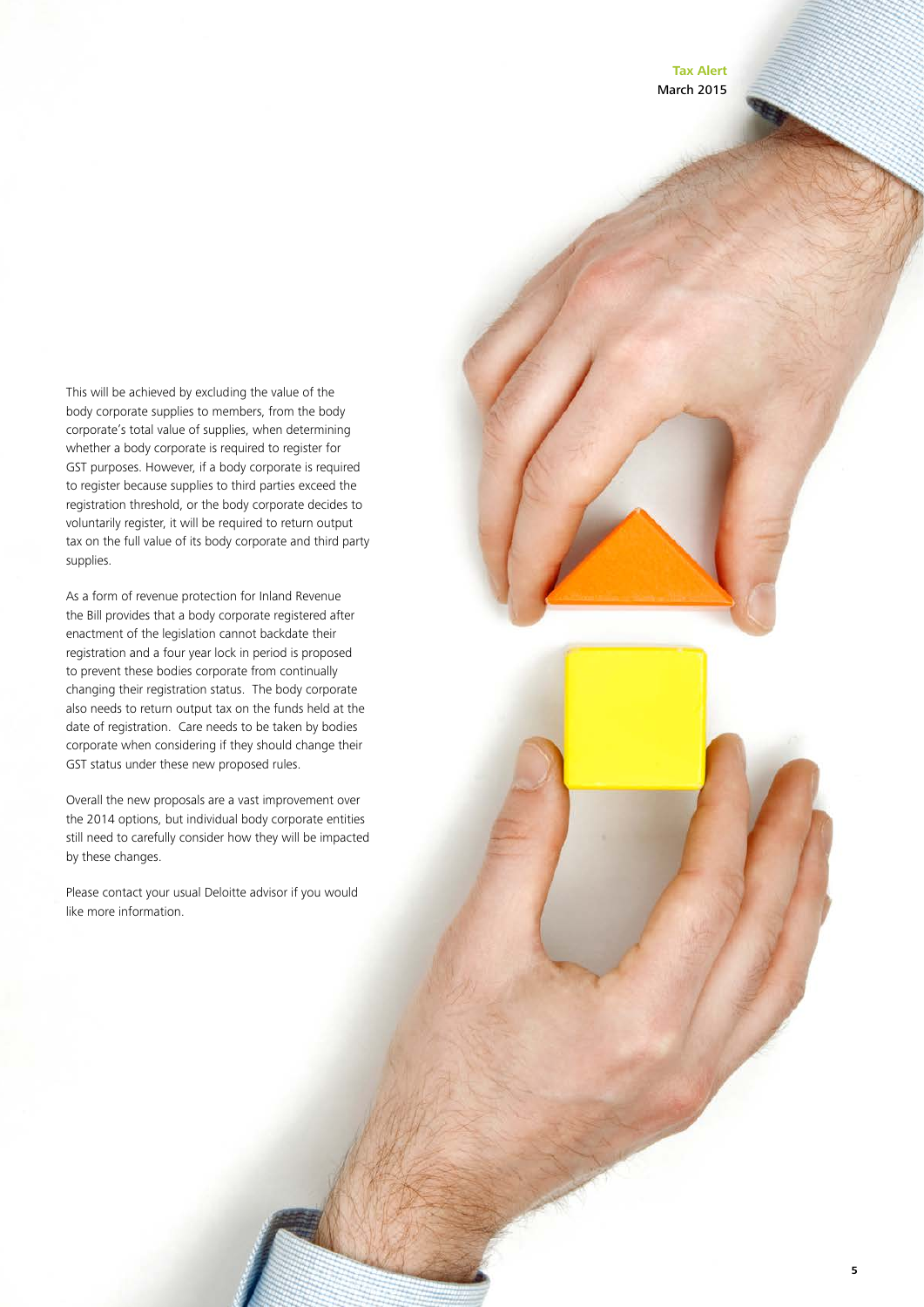**Tax Alert** March 2015

This will be achieved by excluding the value of the body corporate supplies to members, from the body corporate's total value of supplies, when determining whether a body corporate is required to register for GST purposes. However, if a body corporate is required to register because supplies to third parties exceed the registration threshold, or the body corporate decides to voluntarily register, it will be required to return output tax on the full value of its body corporate and third party supplies.

As a form of revenue protection for Inland Revenue the Bill provides that a body corporate registered after enactment of the legislation cannot backdate their registration and a four year lock in period is proposed to prevent these bodies corporate from continually changing their registration status. The body corporate also needs to return output tax on the funds held at the date of registration. Care needs to be taken by bodies corporate when considering if they should change their GST status under these new proposed rules.

Overall the new proposals are a vast improvement over the 2014 options, but individual body corporate entities still need to carefully consider how they will be impacted by these changes.

Please contact your usual Deloitte advisor if you would like more information.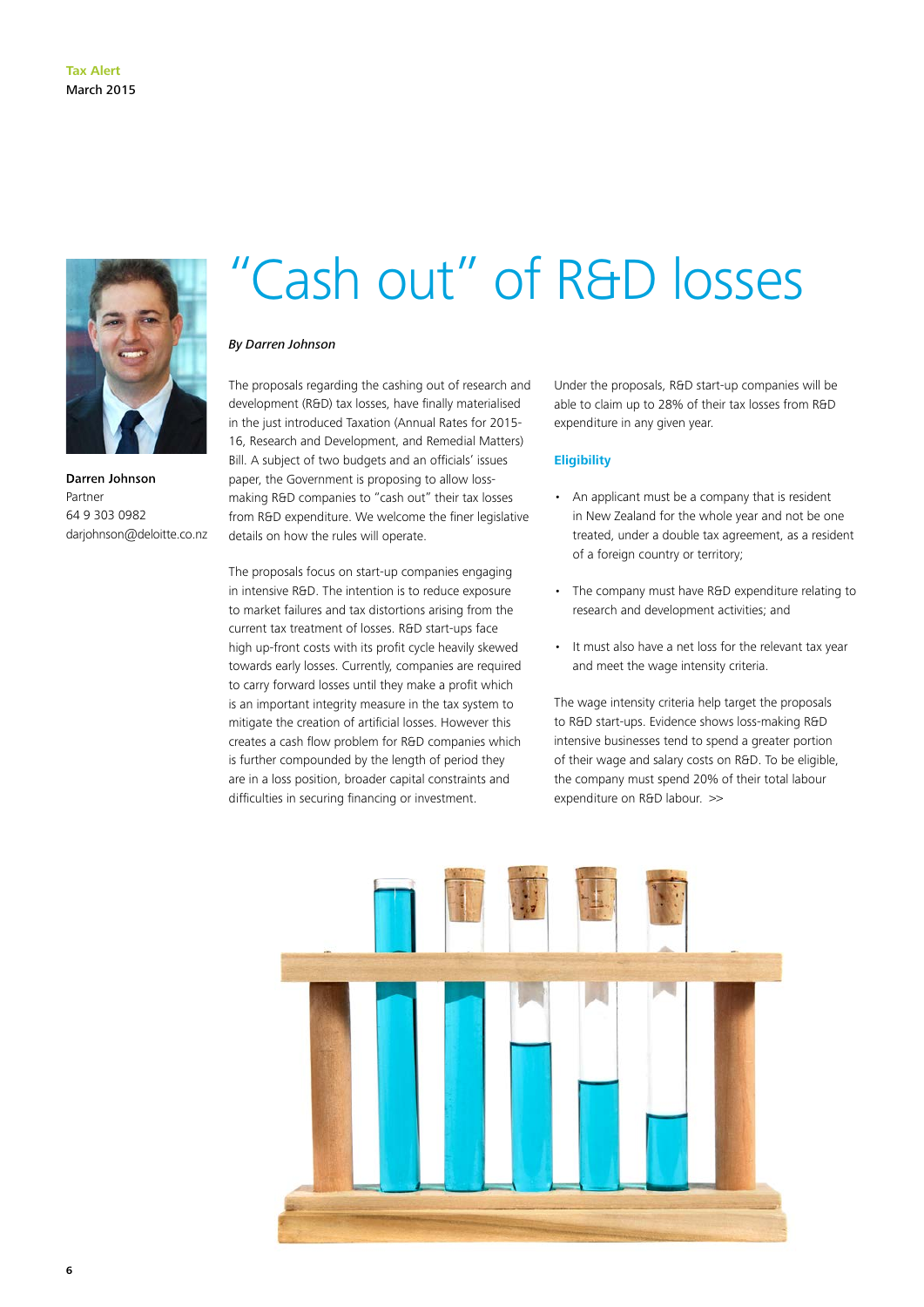

Darren Johnson Partner 64 9 303 0982 darjohnson@deloitte.co.nz

### "Cash out" of R&D losses

#### *By Darren Johnson*

The proposals regarding the cashing out of research and development (R&D) tax losses, have finally materialised in the just introduced Taxation (Annual Rates for 2015- 16, Research and Development, and Remedial Matters) Bill. A subject of two budgets and an officials' issues paper, the Government is proposing to allow lossmaking R&D companies to "cash out" their tax losses from R&D expenditure. We welcome the finer legislative details on how the rules will operate.

The proposals focus on start-up companies engaging in intensive R&D. The intention is to reduce exposure to market failures and tax distortions arising from the current tax treatment of losses. R&D start-ups face high up-front costs with its profit cycle heavily skewed towards early losses. Currently, companies are required to carry forward losses until they make a profit which is an important integrity measure in the tax system to mitigate the creation of artificial losses. However this creates a cash flow problem for R&D companies which is further compounded by the length of period they are in a loss position, broader capital constraints and difficulties in securing financing or investment.

Under the proposals, R&D start-up companies will be able to claim up to 28% of their tax losses from R&D expenditure in any given year.

#### **Eligibility**

- • An applicant must be a company that is resident in New Zealand for the whole year and not be one treated, under a double tax agreement, as a resident of a foreign country or territory;
- The company must have R&D expenditure relating to research and development activities; and
- • It must also have a net loss for the relevant tax year and meet the wage intensity criteria.

The wage intensity criteria help target the proposals to R&D start-ups. Evidence shows loss-making R&D intensive businesses tend to spend a greater portion of their wage and salary costs on R&D. To be eligible, the company must spend 20% of their total labour expenditure on R&D labour. >>

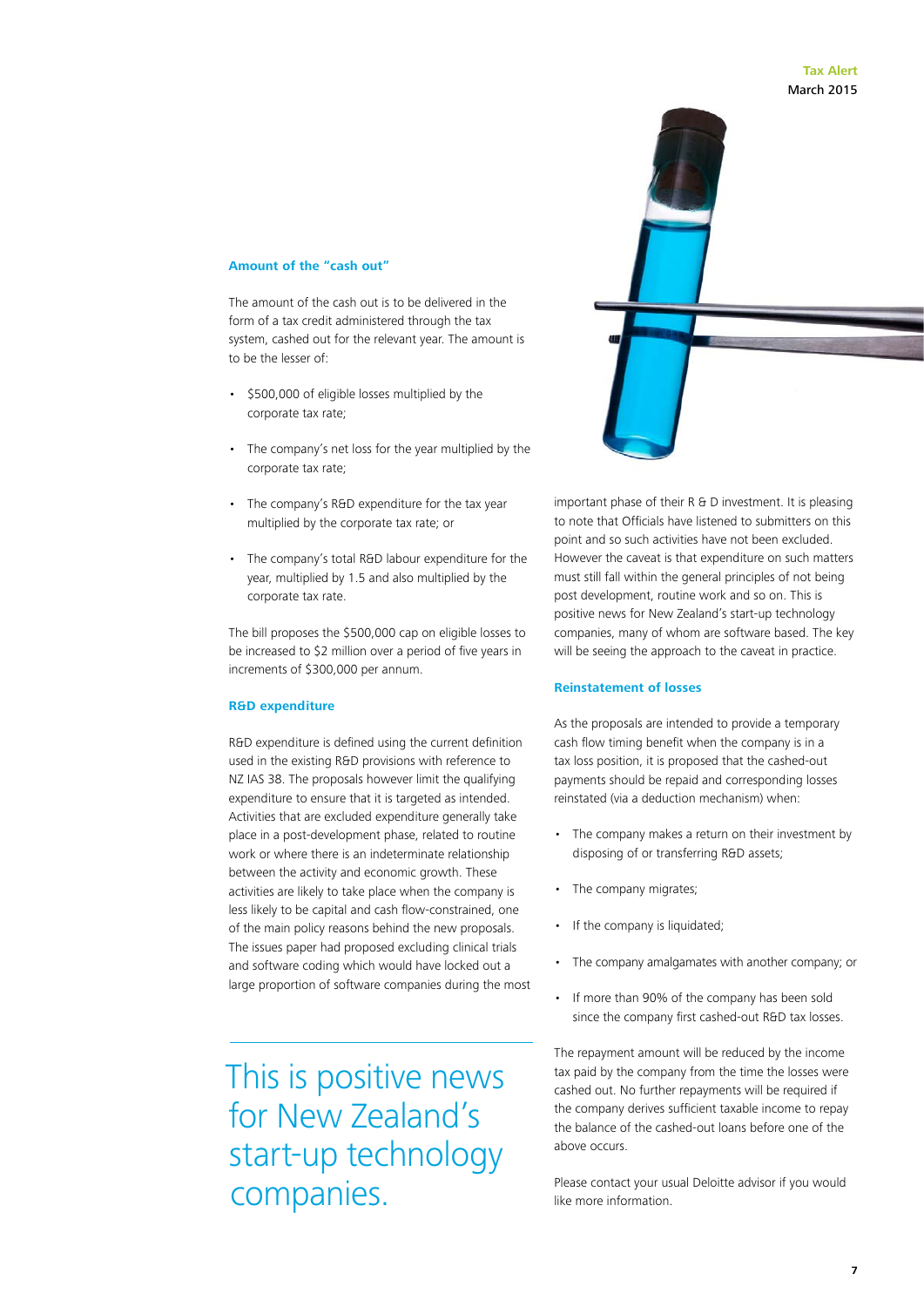#### **Tax Alert** March 2015

important phase of their R & D investment. It is pleasing to note that Officials have listened to submitters on this point and so such activities have not been excluded. However the caveat is that expenditure on such matters must still fall within the general principles of not being post development, routine work and so on. This is positive news for New Zealand's start-up technology companies, many of whom are software based. The key will be seeing the approach to the caveat in practice.

#### **Reinstatement of losses**

As the proposals are intended to provide a temporary cash flow timing benefit when the company is in a tax loss position, it is proposed that the cashed-out payments should be repaid and corresponding losses reinstated (via a deduction mechanism) when:

- The company makes a return on their investment by disposing of or transferring R&D assets;
- The company migrates;
- If the company is liquidated;
- The company amalgamates with another company; or
- • If more than 90% of the company has been sold since the company first cashed-out R&D tax losses.

The repayment amount will be reduced by the income tax paid by the company from the time the losses were cashed out. No further repayments will be required if the company derives sufficient taxable income to repay the balance of the cashed-out loans before one of the above occurs.

Please contact your usual Deloitte advisor if you would like more information.

#### **Amount of the "cash out"**

The amount of the cash out is to be delivered in the form of a tax credit administered through the tax system, cashed out for the relevant year. The amount is to be the lesser of:

- • \$500,000 of eligible losses multiplied by the corporate tax rate;
- The company's net loss for the year multiplied by the corporate tax rate;
- The company's R&D expenditure for the tax year multiplied by the corporate tax rate; or
- • The company's total R&D labour expenditure for the year, multiplied by 1.5 and also multiplied by the corporate tax rate.

The bill proposes the \$500,000 cap on eligible losses to be increased to \$2 million over a period of five years in increments of \$300,000 per annum.

#### **R&D expenditure**

R&D expenditure is defined using the current definition used in the existing R&D provisions with reference to NZ IAS 38. The proposals however limit the qualifying expenditure to ensure that it is targeted as intended. Activities that are excluded expenditure generally take place in a post-development phase, related to routine work or where there is an indeterminate relationship between the activity and economic growth. These activities are likely to take place when the company is less likely to be capital and cash flow-constrained, one of the main policy reasons behind the new proposals. The issues paper had proposed excluding clinical trials and software coding which would have locked out a large proportion of software companies during the most

This is positive news for New Zealand's start-up technology companies.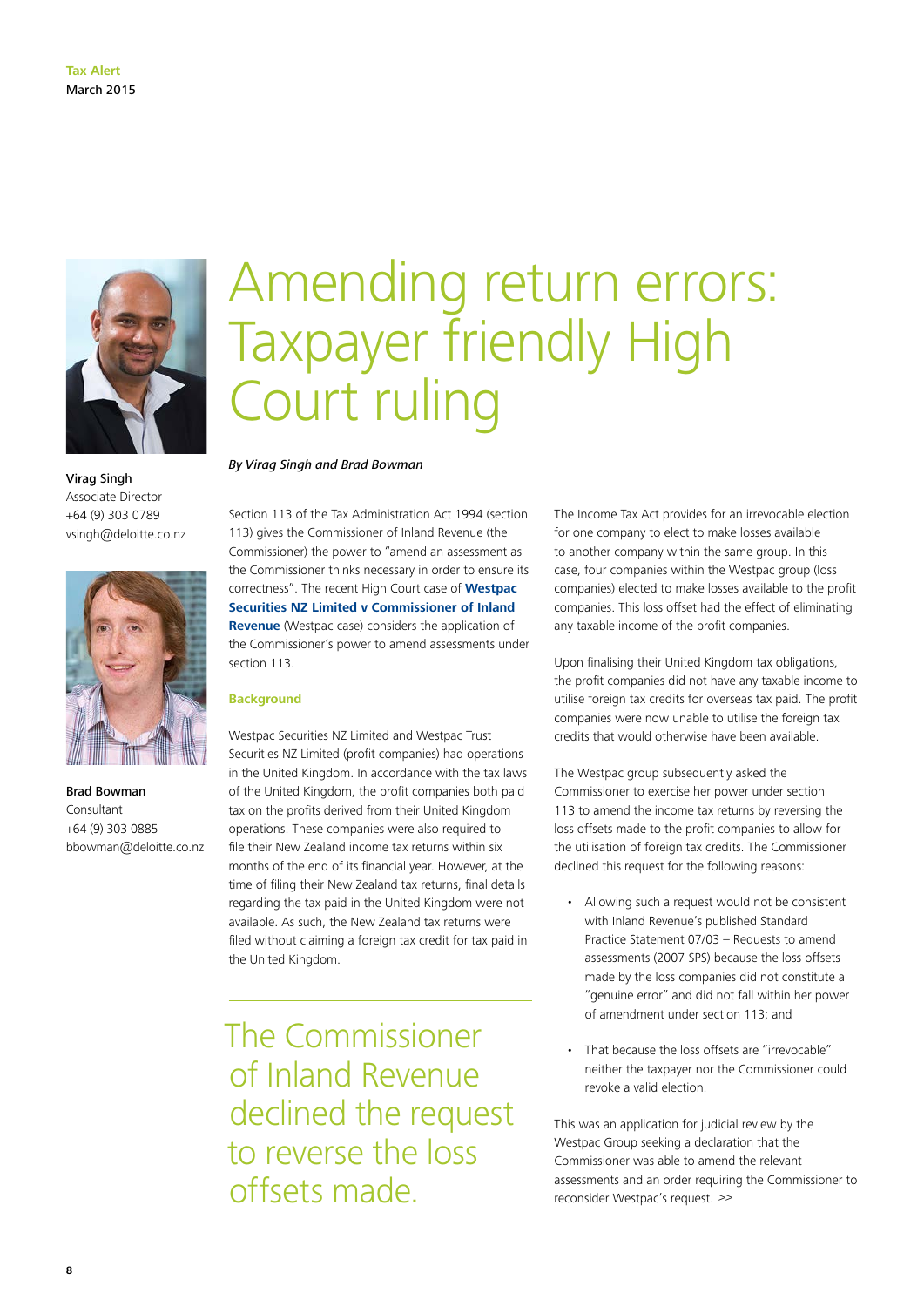

Virag Singh Associate Director +64 (9) 303 0789 vsingh@deloitte.co.nz



Brad Bowman Consultant +64 (9) 303 0885 bbowman@deloitte.co.nz

### Amending return errors: Taxpayer friendly High Court ruling

#### *By Virag Singh and Brad Bowman*

Section 113 of the Tax Administration Act 1994 (section 113) gives the Commissioner of Inland Revenue (the Commissioner) the power to "amend an assessment as the Commissioner thinks necessary in order to ensure its correctness". The recent High Court case of **[Westpac](http://www.nzlii.org/cgi-bin/sinodisp/nz/cases/NZHC/2014/3377.html)  [Securities NZ Limited v Commissioner of Inland](http://www.nzlii.org/cgi-bin/sinodisp/nz/cases/NZHC/2014/3377.html)  [Revenue](http://www.nzlii.org/cgi-bin/sinodisp/nz/cases/NZHC/2014/3377.html)** (Westpac case) considers the application of the Commissioner's power to amend assessments under section 113.

#### **Background**

Westpac Securities NZ Limited and Westpac Trust Securities NZ Limited (profit companies) had operations in the United Kingdom. In accordance with the tax laws of the United Kingdom, the profit companies both paid tax on the profits derived from their United Kingdom operations. These companies were also required to file their New Zealand income tax returns within six months of the end of its financial year. However, at the time of filing their New Zealand tax returns, final details regarding the tax paid in the United Kingdom were not available. As such, the New Zealand tax returns were filed without claiming a foreign tax credit for tax paid in the United Kingdom.

The Commissioner of Inland Revenue declined the request to reverse the loss offsets made.

The Income Tax Act provides for an irrevocable election for one company to elect to make losses available to another company within the same group. In this case, four companies within the Westpac group (loss companies) elected to make losses available to the profit companies. This loss offset had the effect of eliminating any taxable income of the profit companies.

Upon finalising their United Kingdom tax obligations, the profit companies did not have any taxable income to utilise foreign tax credits for overseas tax paid. The profit companies were now unable to utilise the foreign tax credits that would otherwise have been available.

The Westpac group subsequently asked the Commissioner to exercise her power under section 113 to amend the income tax returns by reversing the loss offsets made to the profit companies to allow for the utilisation of foreign tax credits. The Commissioner declined this request for the following reasons:

- Allowing such a request would not be consistent with Inland Revenue's published Standard Practice Statement 07/03 – Requests to amend assessments (2007 SPS) because the loss offsets made by the loss companies did not constitute a "genuine error" and did not fall within her power of amendment under section 113; and
- That because the loss offsets are "irrevocable" neither the taxpayer nor the Commissioner could revoke a valid election.

reconsider Westpac's request. >> This was an application for judicial review by the Westpac Group seeking a declaration that the Commissioner was able to amend the relevant assessments and an order requiring the Commissioner to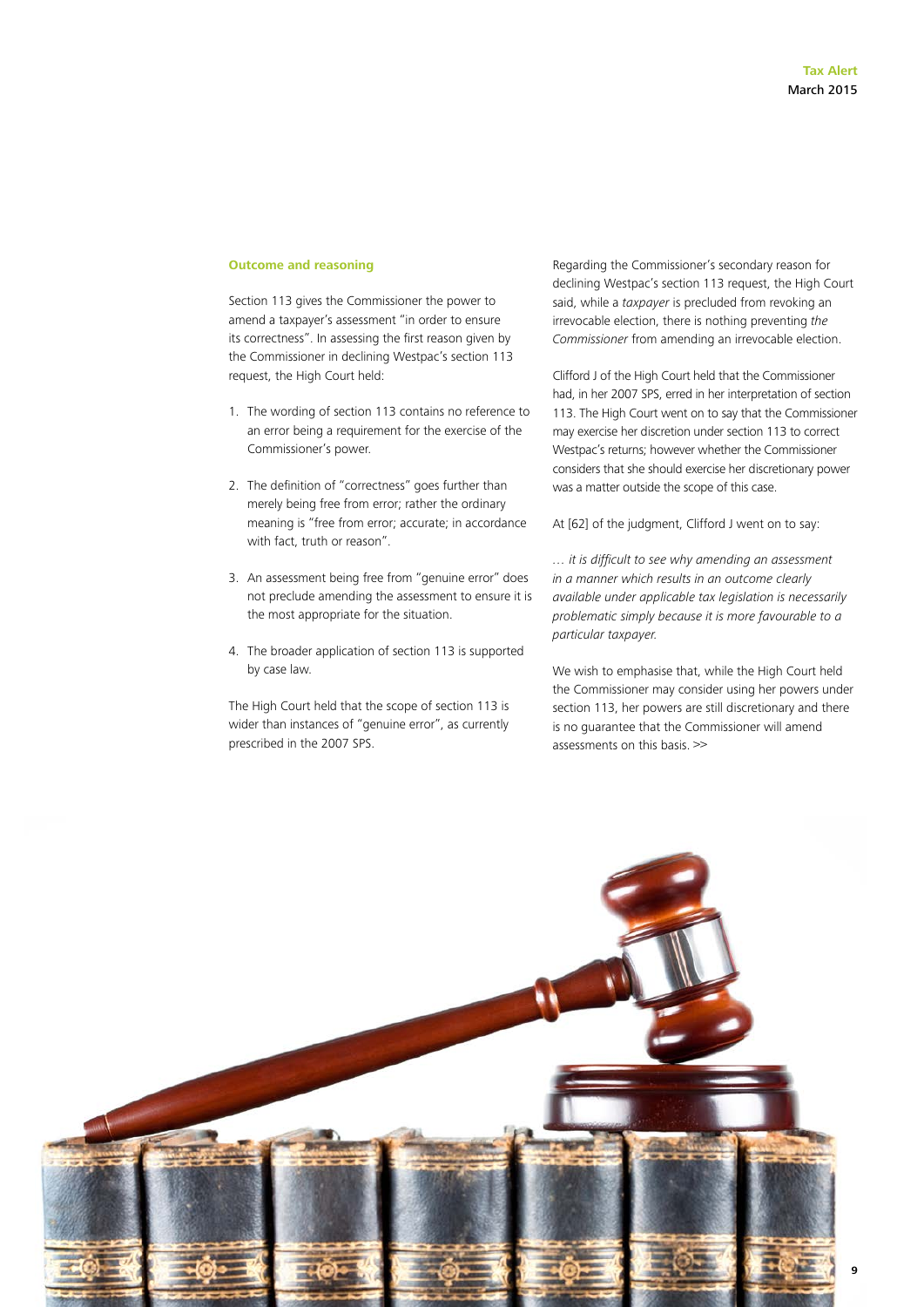#### **Outcome and reasoning**

Section 113 gives the Commissioner the power to amend a taxpayer's assessment "in order to ensure its correctness". In assessing the first reason given by the Commissioner in declining Westpac's section 113 request, the High Court held:

- 1. The wording of section 113 contains no reference to an error being a requirement for the exercise of the Commissioner's power.
- 2. The definition of "correctness" goes further than merely being free from error; rather the ordinary meaning is "free from error; accurate; in accordance with fact, truth or reason".
- 3. An assessment being free from "genuine error" does not preclude amending the assessment to ensure it is the most appropriate for the situation.
- 4. The broader application of section 113 is supported by case law.

The High Court held that the scope of section 113 is wider than instances of "genuine error", as currently prescribed in the 2007 SPS.

Regarding the Commissioner's secondary reason for declining Westpac's section 113 request, the High Court said, while a *taxpayer* is precluded from revoking an irrevocable election, there is nothing preventing *the Commissioner* from amending an irrevocable election.

Clifford J of the High Court held that the Commissioner had, in her 2007 SPS, erred in her interpretation of section 113. The High Court went on to say that the Commissioner may exercise her discretion under section 113 to correct Westpac's returns; however whether the Commissioner considers that she should exercise her discretionary power was a matter outside the scope of this case.

At [62] of the judgment, Clifford J went on to say:

*… it is difficult to see why amending an assessment in a manner which results in an outcome clearly available under applicable tax legislation is necessarily problematic simply because it is more favourable to a particular taxpayer.*

We wish to emphasise that, while the High Court held the Commissioner may consider using her powers under section 113, her powers are still discretionary and there is no guarantee that the Commissioner will amend assessments on this basis. >>

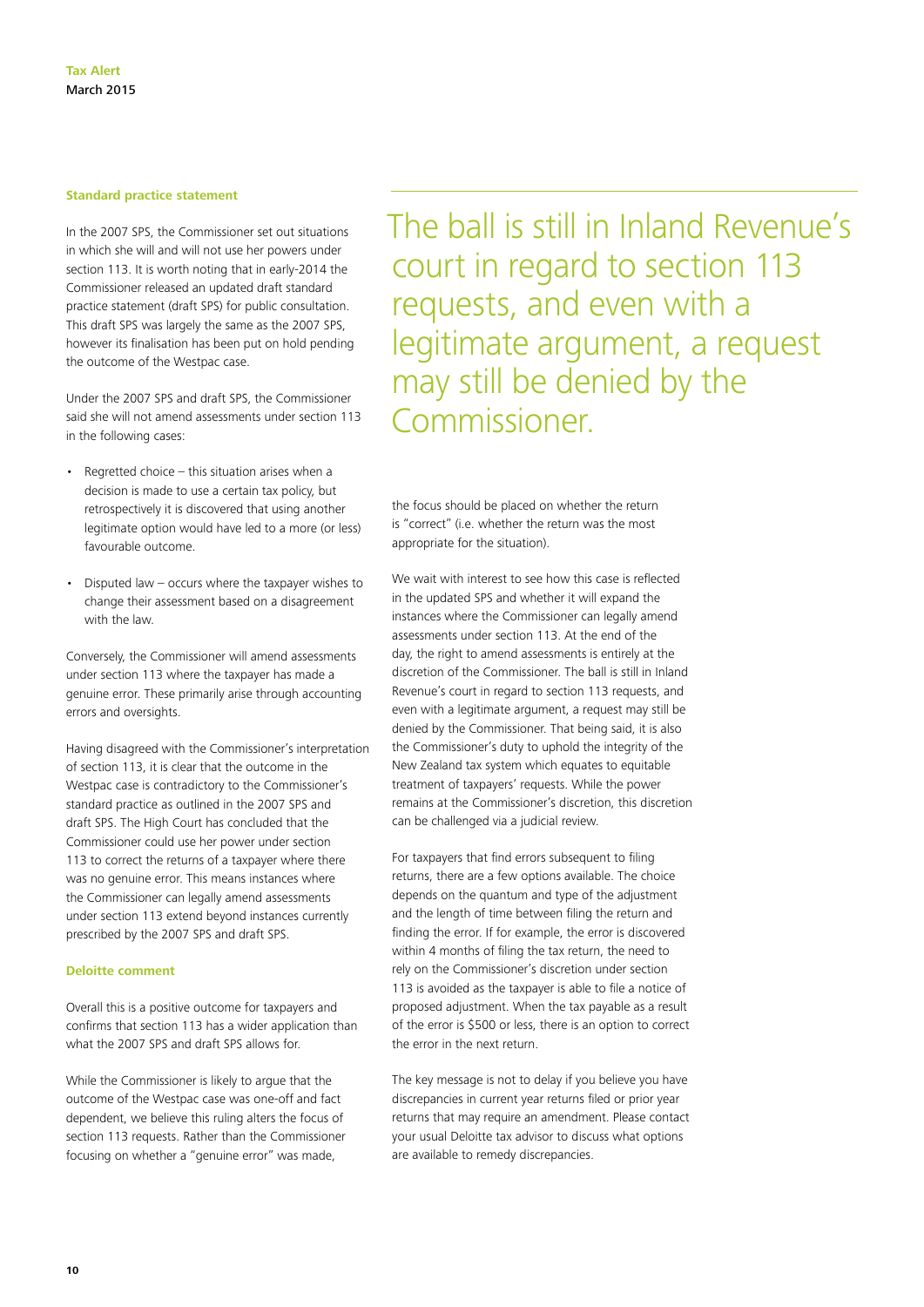#### **Standard practice statement**

In the 2007 SPS, the Commissioner set out situations in which she will and will not use her powers under section 113. It is worth noting that in early-2014 the Commissioner released an updated draft standard practice statement (draft SPS) for public consultation. This draft SPS was largely the same as the 2007 SPS, however its finalisation has been put on hold pending the outcome of the Westpac case.

Under the 2007 SPS and draft SPS, the Commissioner said she will not amend assessments under section 113 in the following cases:

- • Regretted choice this situation arises when a decision is made to use a certain tax policy, but retrospectively it is discovered that using another legitimate option would have led to a more (or less) favourable outcome.
- Disputed law  $-$  occurs where the taxpayer wishes to change their assessment based on a disagreement with the law.

Conversely, the Commissioner will amend assessments under section 113 where the taxpayer has made a genuine error. These primarily arise through accounting errors and oversights.

Having disagreed with the Commissioner's interpretation of section 113, it is clear that the outcome in the Westpac case is contradictory to the Commissioner's standard practice as outlined in the 2007 SPS and draft SPS. The High Court has concluded that the Commissioner could use her power under section 113 to correct the returns of a taxpayer where there was no genuine error. This means instances where the Commissioner can legally amend assessments under section 113 extend beyond instances currently prescribed by the 2007 SPS and draft SPS.

#### **Deloitte comment**

Overall this is a positive outcome for taxpayers and confirms that section 113 has a wider application than what the 2007 SPS and draft SPS allows for.

While the Commissioner is likely to argue that the outcome of the Westpac case was one-off and fact dependent, we believe this ruling alters the focus of section 113 requests. Rather than the Commissioner focusing on whether a "genuine error" was made,

The ball is still in Inland Revenue's court in regard to section 113 requests, and even with a legitimate argument, a request may still be denied by the Commissioner.

the focus should be placed on whether the return is "correct" (i.e. whether the return was the most appropriate for the situation).

We wait with interest to see how this case is reflected in the updated SPS and whether it will expand the instances where the Commissioner can legally amend assessments under section 113. At the end of the day, the right to amend assessments is entirely at the discretion of the Commissioner. The ball is still in Inland Revenue's court in regard to section 113 requests, and even with a legitimate argument, a request may still be denied by the Commissioner. That being said, it is also the Commissioner's duty to uphold the integrity of the New Zealand tax system which equates to equitable treatment of taxpayers' requests. While the power remains at the Commissioner's discretion, this discretion can be challenged via a judicial review.

For taxpayers that find errors subsequent to filing returns, there are a few options available. The choice depends on the quantum and type of the adjustment and the length of time between filing the return and finding the error. If for example, the error is discovered within 4 months of filing the tax return, the need to rely on the Commissioner's discretion under section 113 is avoided as the taxpayer is able to file a notice of proposed adjustment. When the tax payable as a result of the error is \$500 or less, there is an option to correct the error in the next return.

The key message is not to delay if you believe you have discrepancies in current year returns filed or prior year returns that may require an amendment. Please contact your usual Deloitte tax advisor to discuss what options are available to remedy discrepancies.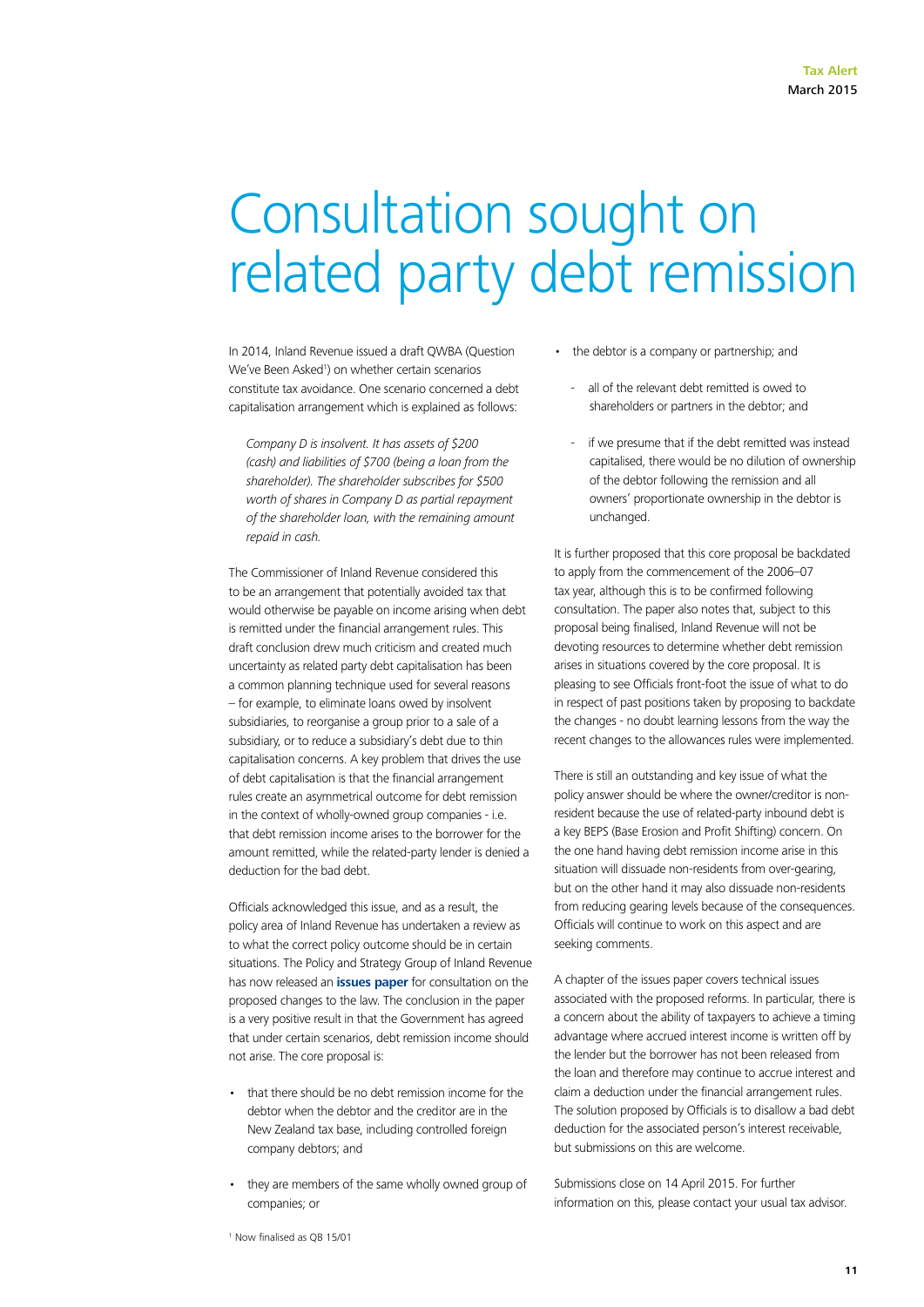### Consultation sought on related party debt remission

In 2014, Inland Revenue issued a draft QWBA (Question We've Been Asked<sup>1</sup>) on whether certain scenarios constitute tax avoidance. One scenario concerned a debt capitalisation arrangement which is explained as follows:

*Company D is insolvent. It has assets of \$200 (cash) and liabilities of \$700 (being a loan from the shareholder). The shareholder subscribes for \$500 worth of shares in Company D as partial repayment of the shareholder loan, with the remaining amount repaid in cash.*

The Commissioner of Inland Revenue considered this to be an arrangement that potentially avoided tax that would otherwise be payable on income arising when debt is remitted under the financial arrangement rules. This draft conclusion drew much criticism and created much uncertainty as related party debt capitalisation has been a common planning technique used for several reasons – for example, to eliminate loans owed by insolvent subsidiaries, to reorganise a group prior to a sale of a subsidiary, or to reduce a subsidiary's debt due to thin capitalisation concerns. A key problem that drives the use of debt capitalisation is that the financial arrangement rules create an asymmetrical outcome for debt remission in the context of wholly-owned group companies - i.e. that debt remission income arises to the borrower for the amount remitted, while the related-party lender is denied a deduction for the bad debt.

Officials acknowledged this issue, and as a result, the policy area of Inland Revenue has undertaken a review as to what the correct policy outcome should be in certain situations. The Policy and Strategy Group of Inland Revenue has now released an **[issues paper](http://taxpolicy.ird.govt.nz/publications/2015-ip-debt-remission/overview)** for consultation on the proposed changes to the law. The conclusion in the paper is a very positive result in that the Government has agreed that under certain scenarios, debt remission income should not arise. The core proposal is:

- • that there should be no debt remission income for the debtor when the debtor and the creditor are in the New Zealand tax base, including controlled foreign company debtors; and
- they are members of the same wholly owned group of companies; or
- the debtor is a company or partnership; and
	- all of the relevant debt remitted is owed to shareholders or partners in the debtor; and
	- if we presume that if the debt remitted was instead capitalised, there would be no dilution of ownership of the debtor following the remission and all owners' proportionate ownership in the debtor is unchanged.

It is further proposed that this core proposal be backdated to apply from the commencement of the 2006–07 tax year, although this is to be confirmed following consultation. The paper also notes that, subject to this proposal being finalised, Inland Revenue will not be devoting resources to determine whether debt remission arises in situations covered by the core proposal. It is pleasing to see Officials front-foot the issue of what to do in respect of past positions taken by proposing to backdate the changes - no doubt learning lessons from the way the recent changes to the allowances rules were implemented.

There is still an outstanding and key issue of what the policy answer should be where the owner/creditor is nonresident because the use of related-party inbound debt is a key BEPS (Base Erosion and Profit Shifting) concern. On the one hand having debt remission income arise in this situation will dissuade non-residents from over-gearing, but on the other hand it may also dissuade non-residents from reducing gearing levels because of the consequences. Officials will continue to work on this aspect and are seeking comments.

A chapter of the issues paper covers technical issues associated with the proposed reforms. In particular, there is a concern about the ability of taxpayers to achieve a timing advantage where accrued interest income is written off by the lender but the borrower has not been released from the loan and therefore may continue to accrue interest and claim a deduction under the financial arrangement rules. The solution proposed by Officials is to disallow a bad debt deduction for the associated person's interest receivable, but submissions on this are welcome.

Submissions close on 14 April 2015. For further information on this, please contact your usual tax advisor.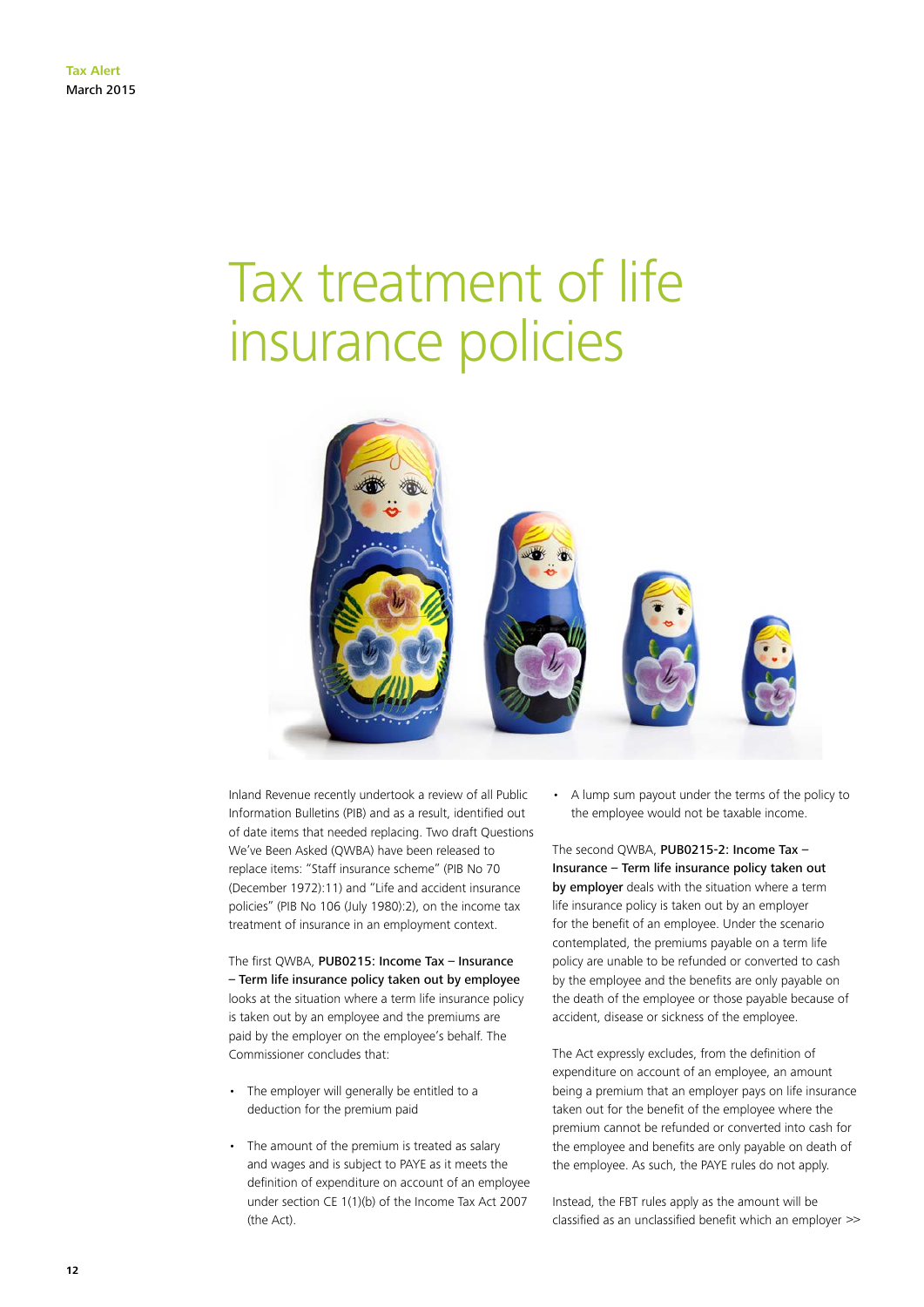### Tax treatment of life insurance policies



Inland Revenue recently undertook a review of all Public Information Bulletins (PIB) and as a result, identified out of date items that needed replacing. Two draft Questions We've Been Asked (QWBA) have been released to replace items: "Staff insurance scheme" (PIB No 70 (December 1972):11) and "Life and accident insurance policies" (PIB No 106 (July 1980):2), on the income tax treatment of insurance in an employment context.

The first QWBA, PUB0215: Income Tax – Insurance – Term life insurance policy taken out by employee looks at the situation where a term life insurance policy is taken out by an employee and the premiums are paid by the employer on the employee's behalf. The Commissioner concludes that:

- • The employer will generally be entitled to a deduction for the premium paid
- The amount of the premium is treated as salary and wages and is subject to PAYE as it meets the definition of expenditure on account of an employee under section CE 1(1)(b) of the Income Tax Act 2007 (the Act).

• A lump sum payout under the terms of the policy to the employee would not be taxable income.

The second QWBA, PUB0215-2: Income Tax -Insurance – Term life insurance policy taken out by employer deals with the situation where a term life insurance policy is taken out by an employer for the benefit of an employee. Under the scenario contemplated, the premiums payable on a term life policy are unable to be refunded or converted to cash by the employee and the benefits are only payable on the death of the employee or those payable because of accident, disease or sickness of the employee.

The Act expressly excludes, from the definition of expenditure on account of an employee, an amount being a premium that an employer pays on life insurance taken out for the benefit of the employee where the premium cannot be refunded or converted into cash for the employee and benefits are only payable on death of the employee. As such, the PAYE rules do not apply.

Instead, the FBT rules apply as the amount will be classified as an unclassified benefit which an employer >>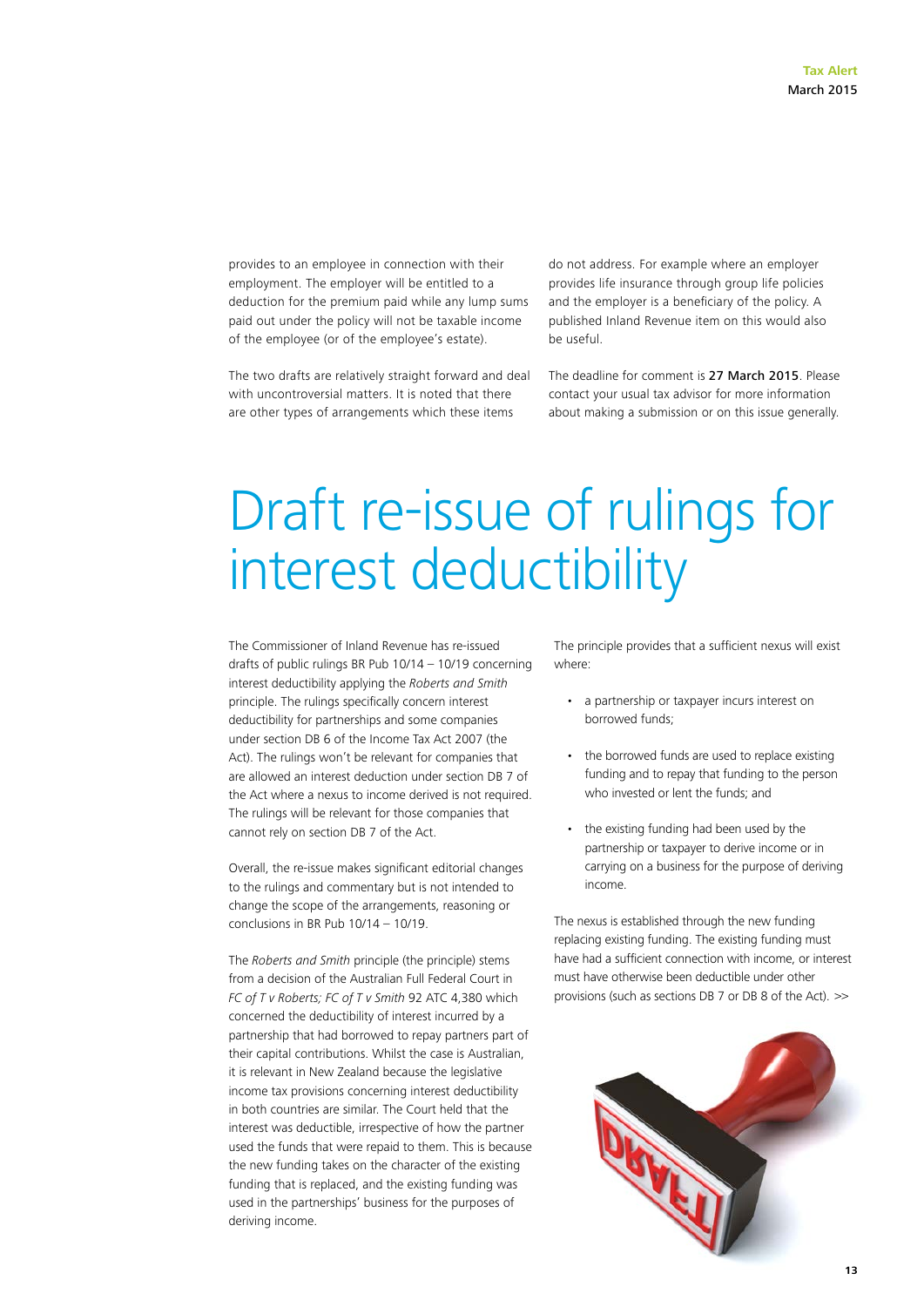provides to an employee in connection with their employment. The employer will be entitled to a deduction for the premium paid while any lump sums paid out under the policy will not be taxable income of the employee (or of the employee's estate).

The two drafts are relatively straight forward and deal with uncontroversial matters. It is noted that there are other types of arrangements which these items

do not address. For example where an employer provides life insurance through group life policies and the employer is a beneficiary of the policy. A published Inland Revenue item on this would also be useful.

The deadline for comment is 27 March 2015. Please contact your usual tax advisor for more information about making a submission or on this issue generally.

### Draft re-issue of rulings for interest deductibility

The Commissioner of Inland Revenue has re-issued drafts of public rulings BR Pub 10/14 – 10/19 concerning interest deductibility applying the *Roberts and Smith* principle. The rulings specifically concern interest deductibility for partnerships and some companies under section DB 6 of the Income Tax Act 2007 (the Act). The rulings won't be relevant for companies that are allowed an interest deduction under section DB 7 of the Act where a nexus to income derived is not required. The rulings will be relevant for those companies that cannot rely on section DB 7 of the Act.

Overall, the re-issue makes significant editorial changes to the rulings and commentary but is not intended to change the scope of the arrangements, reasoning or conclusions in BR Pub 10/14 – 10/19.

The *Roberts and Smith* principle (the principle) stems from a decision of the Australian Full Federal Court in *FC of T v Roberts; FC of T v Smith* 92 ATC 4,380 which concerned the deductibility of interest incurred by a partnership that had borrowed to repay partners part of their capital contributions. Whilst the case is Australian, it is relevant in New Zealand because the legislative income tax provisions concerning interest deductibility in both countries are similar. The Court held that the interest was deductible, irrespective of how the partner used the funds that were repaid to them. This is because the new funding takes on the character of the existing funding that is replaced, and the existing funding was used in the partnerships' business for the purposes of deriving income.

The principle provides that a sufficient nexus will exist where:

- • a partnership or taxpayer incurs interest on borrowed funds;
- the borrowed funds are used to replace existing funding and to repay that funding to the person who invested or lent the funds; and
- • the existing funding had been used by the partnership or taxpayer to derive income or in carrying on a business for the purpose of deriving income.

The nexus is established through the new funding replacing existing funding. The existing funding must have had a sufficient connection with income, or interest must have otherwise been deductible under other provisions (such as sections DB 7 or DB 8 of the Act). >>